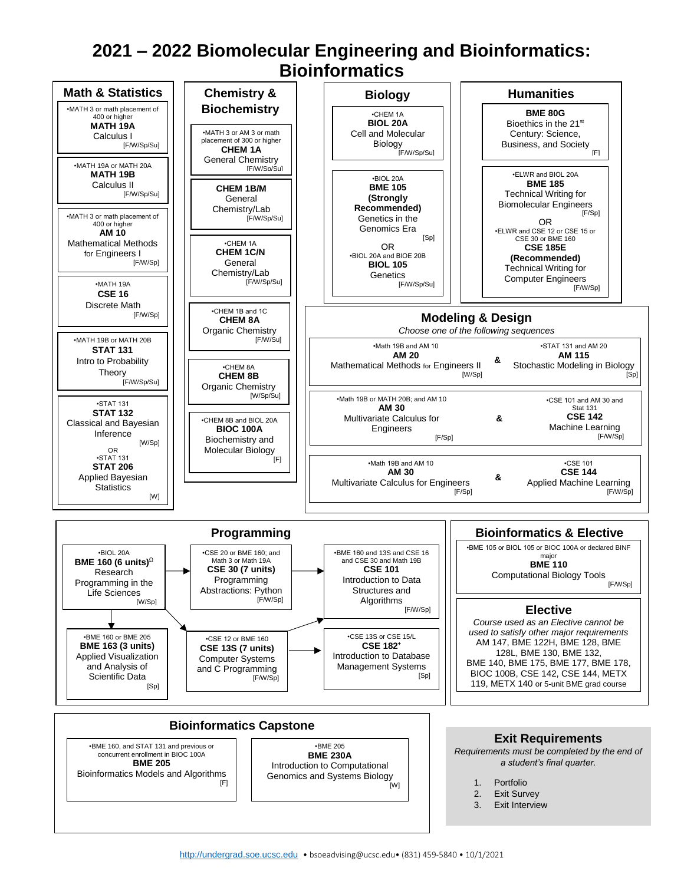## **2021 – 2022 Biomolecular Engineering and Bioinformatics: Bioinformatics**